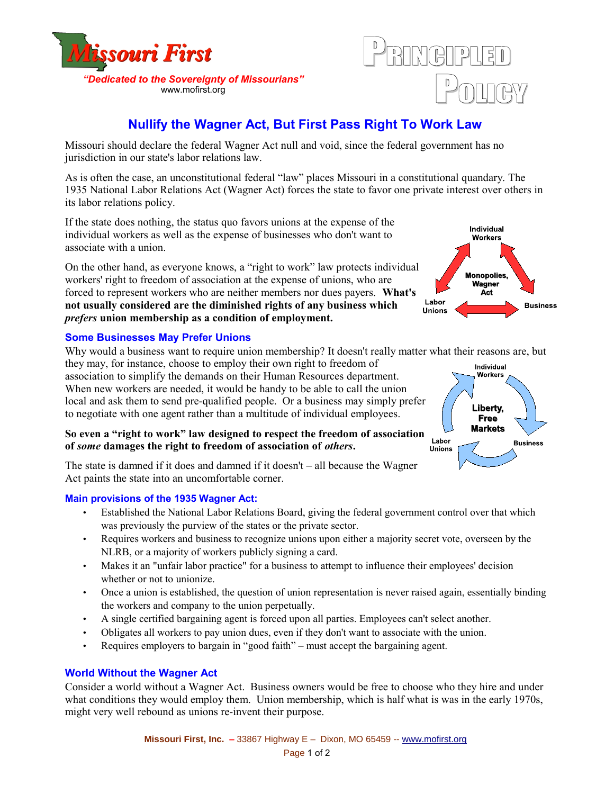



Labor

Unions

# **Nullify the Wagner Act, But First Pass Right To Work Law**

Missouri should declare the federal Wagner Act null and void, since the federal government has no jurisdiction in our state's labor relations law.

As is often the case, an unconstitutional federal "law" places Missouri in a constitutional quandary. The 1935 National Labor Relations Act (Wagner Act) forces the state to favor one private interest over others in its labor relations policy.

If the state does nothing, the status quo favors unions at the expense of the individual workers as well as the expense of businesses who don't want to associate with a union.

On the other hand, as everyone knows, a "right to work" law protects individual workers' right to freedom of association at the expense of unions, who are forced to represent workers who are neither members nor dues payers. **What's not usually considered are the diminished rights of any business which** *prefers* **union membership as a condition of employment.**

## **Some Businesses May Prefer Unions**

Why would a business want to require union membership? It doesn't really matter what their reasons are, but

they may, for instance, choose to employ their own right to freedom of association to simplify the demands on their Human Resources department. When new workers are needed, it would be handy to be able to call the union local and ask them to send pre-qualified people. Or a business may simply prefer to negotiate with one agent rather than a multitude of individual employees.

# **So even a "right to work" law designed to respect the freedom of association of** *some* **damages the right to freedom of association of** *others***.**



Individual

Individual Workers

**Monopolies** Wagner Act

**Business** 

The state is damned if it does and damned if it doesn't – all because the Wagner Act paints the state into an uncomfortable corner.

#### **Main provisions of the 1935 Wagner Act:**

- Established the National Labor Relations Board, giving the federal government control over that which was previously the purview of the states or the private sector.
- Requires workers and business to recognize unions upon either a majority secret vote, overseen by the NLRB, or a majority of workers publicly signing a card.
- Makes it an "unfair labor practice" for a business to attempt to influence their employees' decision whether or not to unionize.
- Once a union is established, the question of union representation is never raised again, essentially binding the workers and company to the union perpetually.
- A single certified bargaining agent is forced upon all parties. Employees can't select another.
- Obligates all workers to pay union dues, even if they don't want to associate with the union.
- Requires employers to bargain in "good faith" must accept the bargaining agent.

#### **World Without the Wagner Act**

Consider a world without a Wagner Act. Business owners would be free to choose who they hire and under what conditions they would employ them. Union membership, which is half what is was in the early 1970s, might very well rebound as unions re-invent their purpose.